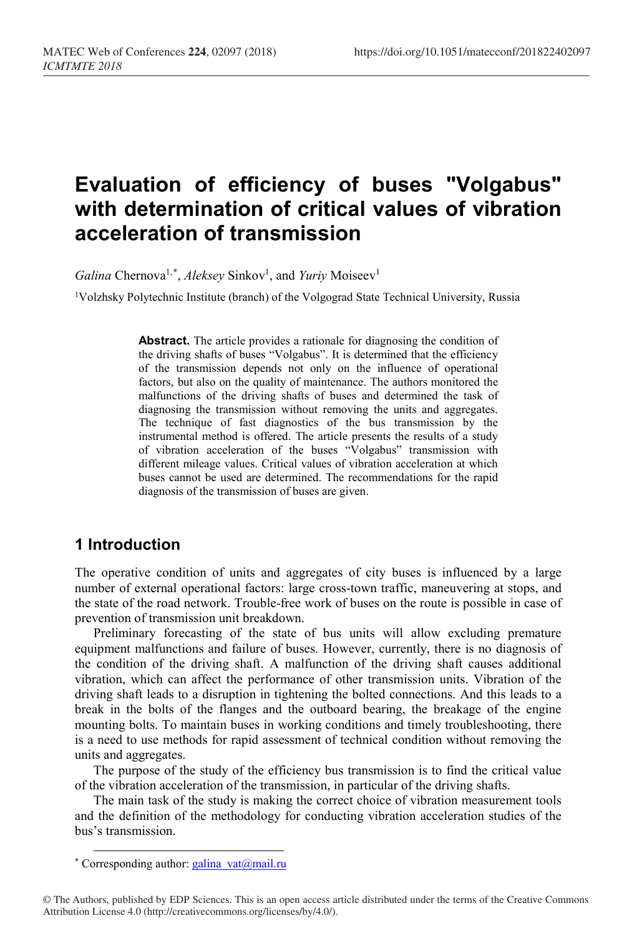# **Evaluation of efficiency of buses "Volgabus" with determination of critical values of vibration acceleration of transmission**

Galina Chernova<sup>1,[\\*](#page-0-0)</sup>, *Aleksey* Sinkov<sup>1</sup>, and *Yuriy* Moiseev<sup>1</sup>

<sup>1</sup>Volzhsky Polytechnic Institute (branch) of the Volgograd State Technical University, Russia

**Abstract.** The article provides a rationale for diagnosing the condition of the driving shafts of buses "Volgabus". It is determined that the efficiency of the transmission depends not only on the influence of operational factors, but also on the quality of maintenance. The authors monitored the malfunctions of the driving shafts of buses and determined the task of diagnosing the transmission without removing the units and aggregates. The technique of fast diagnostics of the bus transmission by the instrumental method is offered. The article presents the results of a study of vibration acceleration of the buses "Volgabus" transmission with different mileage values. Critical values of vibration acceleration at which buses cannot be used are determined. The recommendations for the rapid diagnosis of the transmission of buses are given.

### **1 Introduction**

The operative condition of units and aggregates of city buses is influenced by a large number of external operational factors: large cross-town traffic, maneuvering at stops, and the state of the road network. Trouble-free work of buses on the route is possible in case of prevention of transmission unit breakdown.

Preliminary forecasting of the state of bus units will allow excluding premature equipment malfunctions and failure of buses. However, currently, there is no diagnosis of the condition of the driving shaft. A malfunction of the driving shaft causes additional vibration, which can affect the performance of other transmission units. Vibration of the driving shaft leads to a disruption in tightening the bolted connections. And this leads to a break in the bolts of the flanges and the outboard bearing, the breakage of the engine mounting bolts. To maintain buses in working conditions and timely troubleshooting, there is a need to use methods for rapid assessment of technical condition without removing the units and aggregates.

The purpose of the study of the efficiency bus transmission is to find the critical value of the vibration acceleration of the transmission, in particular of the driving shafts.

The main task of the study is making the correct choice of vibration measurement tools and the definition of the methodology for conducting vibration acceleration studies of the bus's transmission.

<span id="page-0-0"></span><sup>\*</sup> Corresponding author: galina vat@mail.ru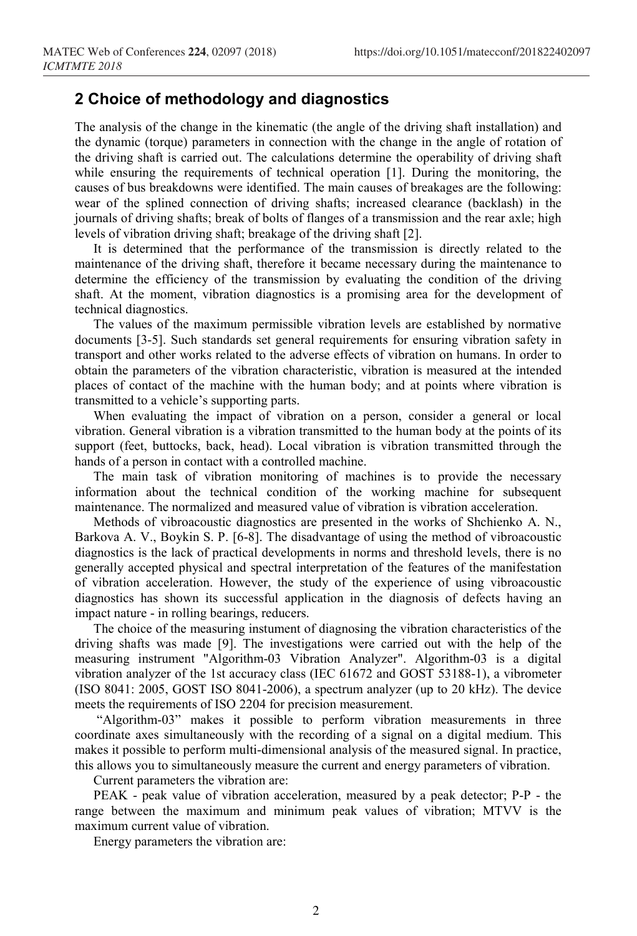#### **2 Choice of methodology and diagnostics**

The analysis of the change in the kinematic (the angle of the driving shaft installation) and the dynamic (torque) parameters in connection with the change in the angle of rotation of the driving shaft is carried out. The calculations determine the operability of driving shaft while ensuring the requirements of technical operation [1]. During the monitoring, the causes of bus breakdowns were identified. The main causes of breakages are the following: wear of the splined connection of driving shafts; increased clearance (backlash) in the journals of driving shafts; break of bolts of flanges of a transmission and the rear axle; high levels of vibration driving shaft; breakage of the driving shaft [2].

It is determined that the performance of the transmission is directly related to the maintenance of the driving shaft, therefore it became necessary during the maintenance to determine the efficiency of the transmission by evaluating the condition of the driving shaft. At the moment, vibration diagnostics is a promising area for the development of technical diagnostics.

The values of the maximum permissible vibration levels are established by normative documents [3-5]. Such standards set general requirements for ensuring vibration safety in transport and other works related to the adverse effects of vibration on humans. In order to obtain the parameters of the vibration characteristic, vibration is measured at the intended places of contact of the machine with the human body; and at points where vibration is transmitted to a vehicle's supporting parts.

When evaluating the impact of vibration on a person, consider a general or local vibration. General vibration is a vibration transmitted to the human body at the points of its support (feet, buttocks, back, head). Local vibration is vibration transmitted through the hands of a person in contact with a controlled machine.

The main task of vibration monitoring of machines is to provide the necessary information about the technical condition of the working machine for subsequent maintenance. The normalized and measured value of vibration is vibration acceleration.

Methods of vibroacoustic diagnostics are presented in the works of Shchienko A. N., Barkova A. V., Boykin S. P. [6-8]. The disadvantage of using the method of vibroacoustic diagnostics is the lack of practical developments in norms and threshold levels, there is no generally accepted physical and spectral interpretation of the features of the manifestation of vibration acceleration. However, the study of the experience of using vibroacoustic diagnostics has shown its successful application in the diagnosis of defects having an impact nature - in rolling bearings, reducers.

The choice of the measuring instument of diagnosing the vibration characteristics of the driving shafts was made [9]. The investigations were carried out with the help of the measuring instrument "Algorithm-03 Vibration Analyzer". Algorithm-03 is a digital vibration analyzer of the 1st accuracy class (IEC 61672 and GOST 53188-1), a vibrometer (ISO 8041: 2005, GOST ISO 8041-2006), a spectrum analyzer (up to 20 kHz). The device meets the requirements of ISO 2204 for precision measurement.

"Algorithm-03" makes it possible to perform vibration measurements in three coordinate axes simultaneously with the recording of a signal on a digital medium. This makes it possible to perform multi-dimensional analysis of the measured signal. In practice, this allows you to simultaneously measure the current and energy parameters of vibration.

Current parameters the vibration are:

PEAK - peak value of vibration acceleration, measured by a peak detector; Р-Р - the range between the maximum and minimum peak values of vibration; MTVV is the maximum current value of vibration.

Energy parameters the vibration are: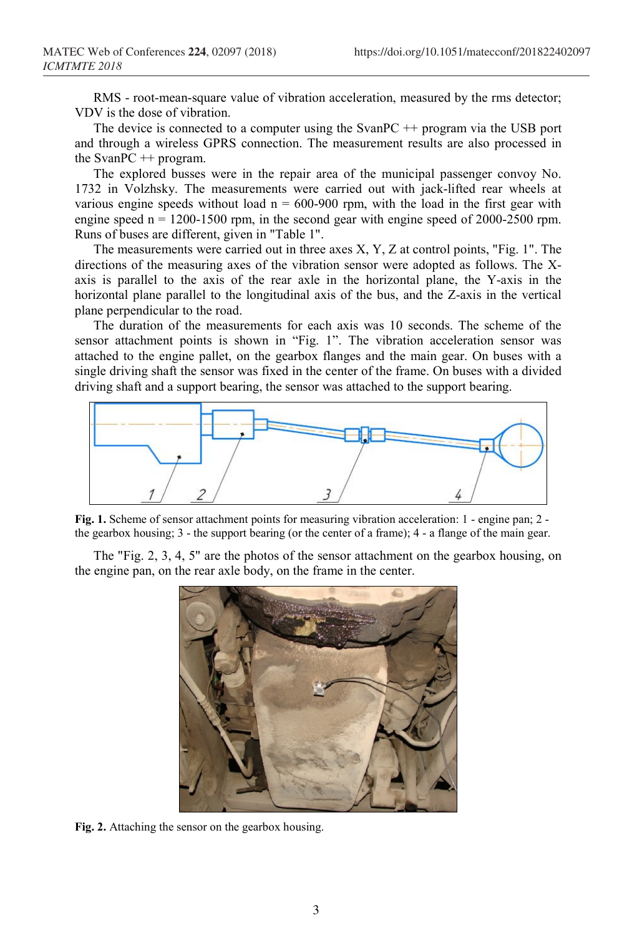RMS - root-mean-square value of vibration acceleration, measured by the rms detector; VDV is the dose of vibration.

The device is connected to a computer using the SvanPC ++ program via the USB port and through a wireless GPRS connection. The measurement results are also processed in the SvanPC  $++$  program.

The explored busses were in the repair area of the municipal passenger convoy No. 1732 in Volzhsky. The measurements were carried out with jack-lifted rear wheels at various engine speeds without load  $n = 600-900$  rpm, with the load in the first gear with engine speed  $n = 1200-1500$  rpm, in the second gear with engine speed of 2000-2500 rpm. Runs of buses are different, given in "Table 1".

The measurements were carried out in three axes X, Y, Z at control points, "Fig. 1". The directions of the measuring axes of the vibration sensor were adopted as follows. The Xaxis is parallel to the axis of the rear axle in the horizontal plane, the Y-axis in the horizontal plane parallel to the longitudinal axis of the bus, and the Z-axis in the vertical plane perpendicular to the road.

The duration of the measurements for each axis was 10 seconds. The scheme of the sensor attachment points is shown in "Fig. 1". The vibration acceleration sensor was attached to the engine pallet, on the gearbox flanges and the main gear. On buses with a single driving shaft the sensor was fixed in the center of the frame. On buses with a divided driving shaft and a support bearing, the sensor was attached to the support bearing.



**Fig. 1.** Scheme of sensor attachment points for measuring vibration acceleration: 1 - engine pan; 2 the gearbox housing; 3 - the support bearing (or the center of a frame); 4 - a flange of the main gear.

The "Fig. 2, 3, 4, 5" are the photos of the sensor attachment on the gearbox housing, on the engine pan, on the rear axle body, on the frame in the center.



**Fig. 2.** Attaching the sensor on the gearbox housing.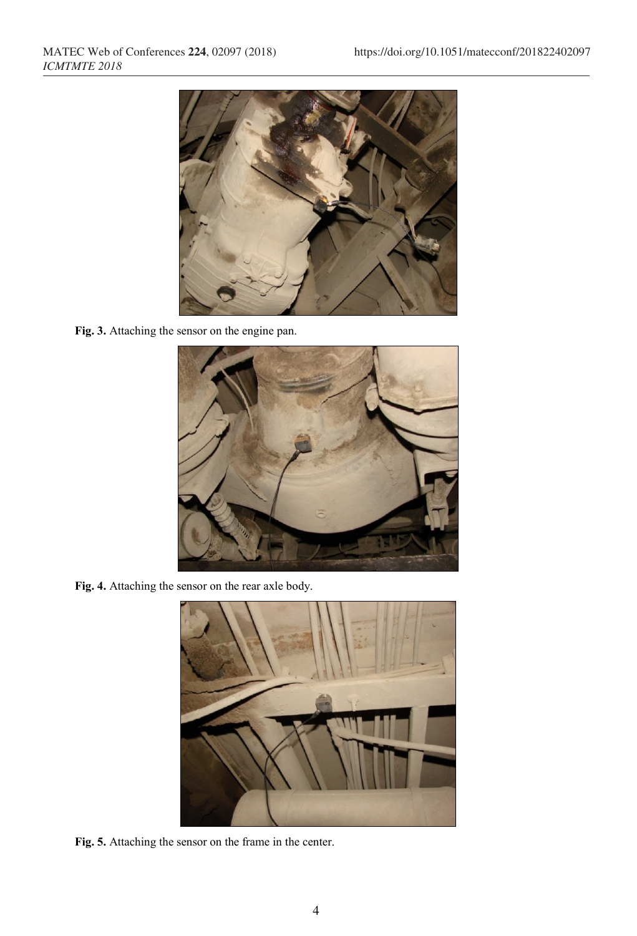

**Fig. 3.** Attaching the sensor on the engine pan.



**Fig. 4.** Attaching the sensor on the rear axle body.



**Fig. 5.** Attaching the sensor on the frame in the center.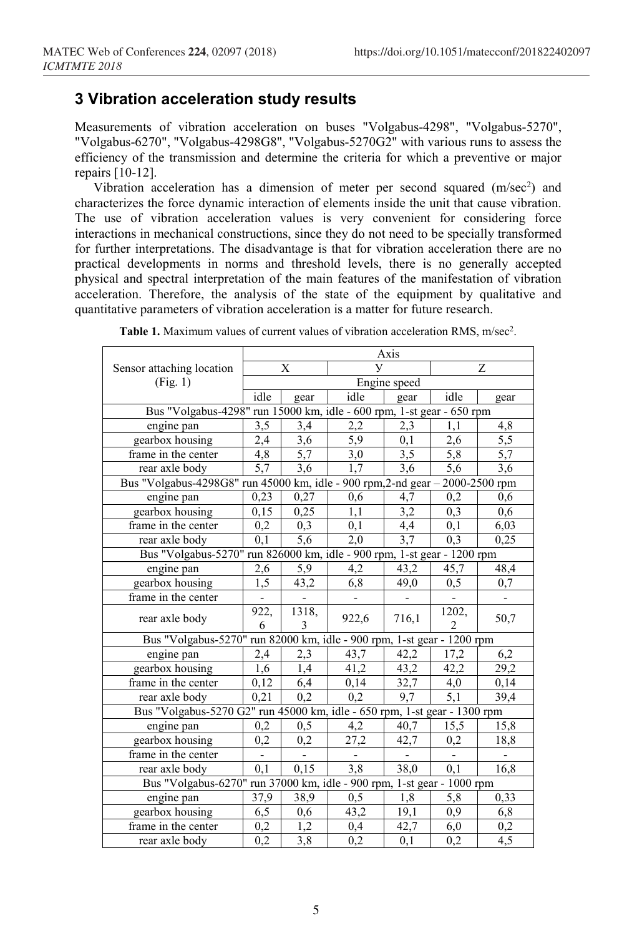## **3 Vibration acceleration study results**

Measurements of vibration acceleration on buses "Volgabus-4298", "Volgabus-5270", "Volgabus-6270", "Volgabus-4298G8", "Volgabus-5270G2" with various runs to assess the efficiency of the transmission and determine the criteria for which a preventive or major repairs [10-12].

Vibration acceleration has a dimension of meter per second squared  $(m/sec<sup>2</sup>)$  and characterizes the force dynamic interaction of elements inside the unit that cause vibration. The use of vibration acceleration values is very convenient for considering force interactions in mechanical constructions, since they do not need to be specially transformed for further interpretations. The disadvantage is that for vibration acceleration there are no practical developments in norms and threshold levels, there is no generally accepted physical and spectral interpretation of the main features of the manifestation of vibration acceleration. Therefore, the analysis of the state of the equipment by qualitative and quantitative parameters of vibration acceleration is a matter for future research.

|                                                                                  | Axis           |                |                |                          |                |                          |
|----------------------------------------------------------------------------------|----------------|----------------|----------------|--------------------------|----------------|--------------------------|
| Sensor attaching location                                                        | X<br>V         |                |                | Ζ                        |                |                          |
| (Fig. 1)                                                                         | Engine speed   |                |                |                          |                |                          |
|                                                                                  | idle           | gear           | idle           | gear                     | idle           | gear                     |
| Bus "Volgabus-4298" run 15000 km, idle - 600 rpm, 1-st gear - 650 rpm            |                |                |                |                          |                |                          |
| engine pan                                                                       | 3,5            | 3,4            | 2,2            | $2,\overline{3}$         | 1,1            | 4,8                      |
| gearbox housing                                                                  | 2,4            | 3,6            | 5,9            | 0,1                      | 2,6            | 5,5                      |
| frame in the center                                                              | 4,8            | 5,7            | 3,0            | 3,5                      | 5,8            | 5,7                      |
| rear axle body                                                                   | 5,7            | 3,6            | 1,7            | 3,6                      | 5.6            | 3,6                      |
| Bus "Volgabus-4298G8" run 45000 km, idle - 900 rpm, 2-nd gear -<br>2000-2500 rpm |                |                |                |                          |                |                          |
| engine pan                                                                       | 0,23           | 0,27           | 0,6            | 4,7                      | 0,2            | 0,6                      |
| gearbox housing                                                                  | 0,15           | 0,25           | 1,1            | 3,2                      | 0.3            | 0,6                      |
| frame in the center                                                              | 0,2            | 0,3            | 0,1            | 4,4                      | 0,1            | 6,03                     |
| rear axle body                                                                   | 0,1            | 5,6            | 2,0            | 3.7                      | 0.3            | 0.25                     |
| Bus "Volgabus-5270" run 826000 km, idle - 900 rpm, 1-st gear - 1200 rpm          |                |                |                |                          |                |                          |
| engine pan                                                                       | 2,6            | 5,9            | 4,2            | 43,2                     | 45,7           | 48,4                     |
| gearbox housing                                                                  | 1,5            | 43,2           | 6,8            | 49,0                     | 0,5            | 0,7                      |
| frame in the center                                                              | $\overline{a}$ |                |                | $\overline{\phantom{0}}$ | $\blacksquare$ |                          |
| rear axle body                                                                   | 922,           | 1318,          | 922,6          | 716,1                    | 1202,          | 50,7                     |
|                                                                                  | 6              | 3              |                |                          | $\overline{2}$ |                          |
| Bus "Volgabus-5270" run 82000 km, idle - 900 rpm, 1-st gear - 1200 rpm           |                |                |                |                          |                |                          |
| engine pan                                                                       | 2,4            | 2,3            | 43,7           | 42,2                     | 17,2           | 6,2                      |
| gearbox housing                                                                  | 1,6            | 1.4            | 41,2           | 43,2                     | 42,2           | 29.2                     |
| frame in the center                                                              | 0,12           | 6,4            | 0,14           | 32,7                     | 4,0            | 0,14                     |
| rear axle body                                                                   | 0,21           | 0,2            | 0,2            | 9,7                      | 5,1            | 39,4                     |
| Bus "Volgabus-5270 G2" run 45000 km, idle - 650 rpm, 1-st gear - 1300 rpm        |                |                |                |                          |                |                          |
| engine pan                                                                       | 0,2            | 0,5            | 4,2            | 40,7                     | 15,5           | 15,8                     |
| gearbox housing                                                                  | 0,2            | 0,2            | 27,2           | 42,7                     | 0,2            | 18,8                     |
| frame in the center                                                              | $\overline{a}$ | $\overline{a}$ | $\overline{a}$ | $\overline{a}$           | $\overline{a}$ | $\overline{\phantom{a}}$ |
| rear axle body                                                                   | 0,1            | 0,15           | 3,8            | 38,0                     | 0,1            | 16,8                     |
| Bus "Volgabus-6270" run 37000 km, idle - 900 rpm, 1-st gear - 1000 rpm           |                |                |                |                          |                |                          |
| engine pan                                                                       | 37,9           | 38,9           | 0,5            | 1,8                      | 5,8            | 0,33                     |
| gearbox housing                                                                  | 6,5            | 0,6            | 43,2           | 19,1                     | 0,9            | 6,8                      |
| frame in the center                                                              | 0,2            | 1,2            | 0,4            | 42,7                     | 6,0            | 0,2                      |
| rear axle body                                                                   | 0,2            | 3,8            | 0,2            | 0,1                      | 0,2            | $\overline{4,5}$         |

Table 1. Maximum values of current values of vibration acceleration RMS, m/sec<sup>2</sup>.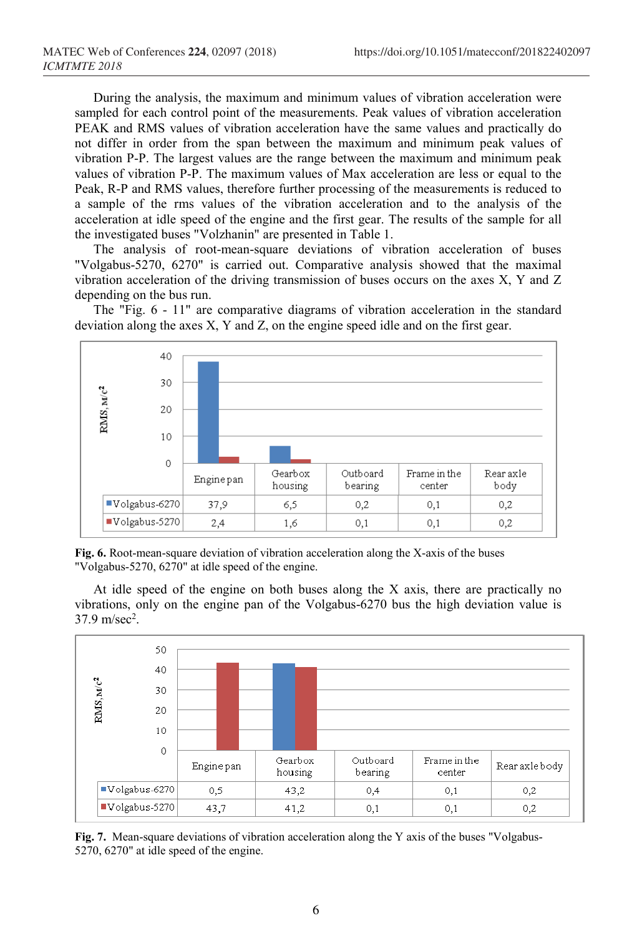During the analysis, the maximum and minimum values of vibration acceleration were sampled for each control point of the measurements. Peak values of vibration acceleration PEAK and RMS values of vibration acceleration have the same values and practically do not differ in order from the span between the maximum and minimum peak values of vibration Р-Р. The largest values are the range between the maximum and minimum peak values of vibration P-P. The maximum values of Max acceleration are less or equal to the Peak, R-P and RMS values, therefore further processing of the measurements is reduced to a sample of the rms values of the vibration acceleration and to the analysis of the acceleration at idle speed of the engine and the first gear. The results of the sample for all the investigated buses "Volzhanin" are presented in Table 1.

The analysis of root-mean-square deviations of vibration acceleration of buses "Volgabus-5270, 6270" is carried out. Comparative analysis showed that the maximal vibration acceleration of the driving transmission of buses occurs on the axes X, Y and Z depending on the bus run.

The "Fig. 6 - 11" are comparative diagrams of vibration acceleration in the standard deviation along the axes X, Y and Z, on the engine speed idle and on the first gear.





At idle speed of the engine on both buses along the X axis, there are practically no vibrations, only on the engine pan of the Volgabus-6270 bus the high deviation value is  $37.9 \text{ m/sec}^2$ .



Fig. 7. Mean-square deviations of vibration acceleration along the Y axis of the buses "Volgabus-5270, 6270" at idle speed of the engine.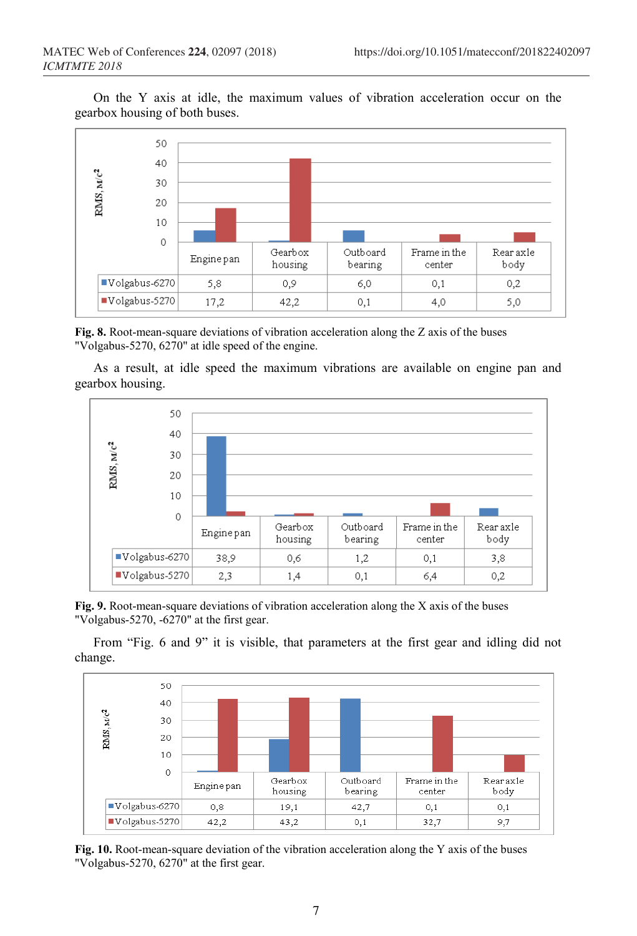On the Y axis at idle, the maximum values of vibration acceleration occur on the gearbox housing of both buses.



**Fig. 8.** Root-mean-square deviations of vibration acceleration along the Z axis of the buses "Volgabus-5270, 6270" at idle speed of the engine.

As a result, at idle speed the maximum vibrations are available on engine pan and gearbox housing.



**Fig. 9.** Root-mean-square deviations of vibration acceleration along the X axis of the buses "Volgabus-5270, -6270" at the first gear.

From "Fig. 6 and 9" it is visible, that parameters at the first gear and idling did not change.



**Fig. 10.** Root-mean-square deviation of the vibration acceleration along the Y axis of the buses "Volgabus-5270, 6270" at the first gear.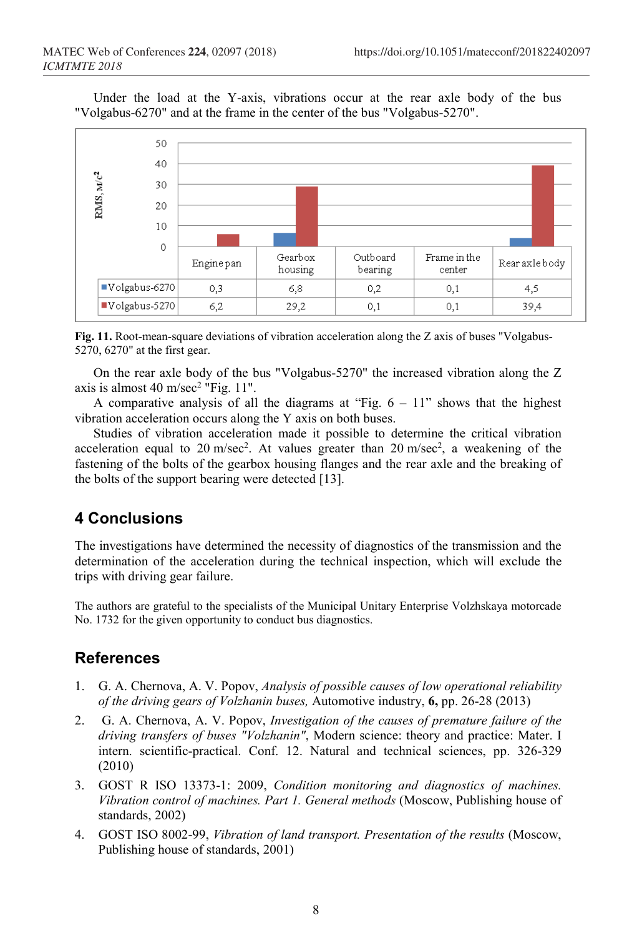Under the load at the Y-axis, vibrations occur at the rear axle body of the bus "Volgabus-6270" and at the frame in the center of the bus "Volgabus-5270".



**Fig. 11.** Root-mean-square deviations of vibration acceleration along the Z axis of buses "Volgabus-5270, 6270" at the first gear.

On the rear axle body of the bus "Volgabus-5270" the increased vibration along the Z axis is almost  $40 \text{ m/sec}^2$  "Fig. 11".

A comparative analysis of all the diagrams at "Fig.  $6 - 11$ " shows that the highest vibration acceleration occurs along the Y axis on both buses.

Studies of vibration acceleration made it possible to determine the critical vibration acceleration equal to 20 m/sec<sup>2</sup>. At values greater than 20 m/sec<sup>2</sup>, a weakening of the fastening of the bolts of the gearbox housing flanges and the rear axle and the breaking of the bolts of the support bearing were detected [13].

# **4 Conclusions**

The investigations have determined the necessity of diagnostics of the transmission and the determination of the acceleration during the technical inspection, which will exclude the trips with driving gear failure.

The authors are grateful to the specialists of the Municipal Unitary Enterprise Volzhskaya motorcade No. 1732 for the given opportunity to conduct bus diagnostics.

# **References**

- 1. G. A. Chernova, A. V. Popov, *Analysis of possible causes of low operational reliability of the driving gears of Volzhanin buses,* Automotive industry, **6,** pp. 26-28 (2013)
- 2. G. A. Chernova, A. V. Popov, *Investigation of the causes of premature failure of the driving transfers of buses "Volzhanin"*, Modern science: theory and practice: Mater. I intern. scientific-practical. Conf. 12. Natural and technical sciences, pp. 326-329 (2010)
- 3. GOST R ISO 13373-1: 2009, *Condition monitoring and diagnostics of machines. Vibration control of machines. Part 1. General methods* (Moscow, Publishing house of standards, 2002)
- 4. GOST ISO 8002-99, *Vibration of land transport. Presentation of the results* (Moscow, Publishing house of standards, 2001)